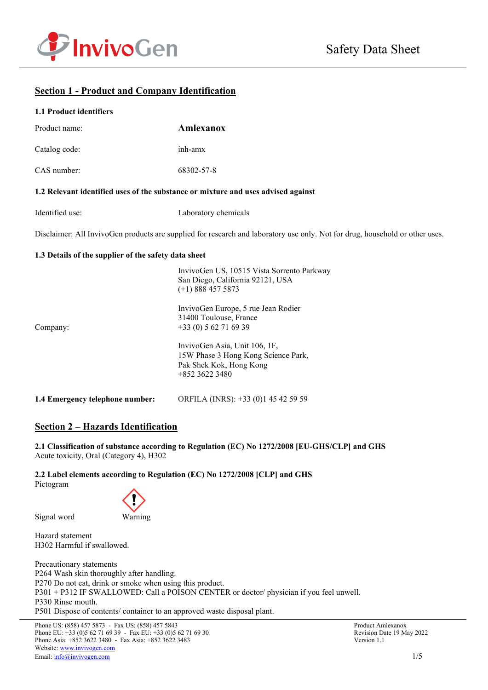



# **Section 1 - Product and Company Identification**

## **1.1 Product identifiers**

| Product name:                                        | <b>Amlexanox</b>                                                                                                                                                                                                                                                                                                  |
|------------------------------------------------------|-------------------------------------------------------------------------------------------------------------------------------------------------------------------------------------------------------------------------------------------------------------------------------------------------------------------|
| Catalog code:                                        | inh-amx                                                                                                                                                                                                                                                                                                           |
| CAS number:                                          | 68302-57-8                                                                                                                                                                                                                                                                                                        |
|                                                      | 1.2 Relevant identified uses of the substance or mixture and uses advised against                                                                                                                                                                                                                                 |
| Identified use:                                      | Laboratory chemicals                                                                                                                                                                                                                                                                                              |
|                                                      | Disclaimer: All InvivoGen products are supplied for research and laboratory use only. Not for drug, household or other uses.                                                                                                                                                                                      |
| 1.3 Details of the supplier of the safety data sheet |                                                                                                                                                                                                                                                                                                                   |
| Company:                                             | InvivoGen US, 10515 Vista Sorrento Parkway<br>San Diego, California 92121, USA<br>$(+1)$ 888 457 5873<br>InvivoGen Europe, 5 rue Jean Rodier<br>31400 Toulouse, France<br>$+33(0) 562716939$<br>InvivoGen Asia, Unit 106, 1F,<br>15W Phase 3 Hong Kong Science Park,<br>Pak Shek Kok, Hong Kong<br>+852 3622 3480 |
| 1.4 Emergency telephone number:                      | ORFILA (INRS): +33 (0)1 45 42 59 59                                                                                                                                                                                                                                                                               |

# **Section 2 – Hazards Identification**

**2.1 Classification of substance according to Regulation (EC) No 1272/2008 [EU-GHS/CLP] and GHS** Acute toxicity, Oral (Category 4), H302

**2.2 Label elements according to Regulation (EC) No 1272/2008 [CLP] and GHS** Pictogram



Signal word Warning

Hazard statement H302 Harmful if swallowed.

Precautionary statements P264 Wash skin thoroughly after handling. P270 Do not eat, drink or smoke when using this product. P301 + P312 IF SWALLOWED: Call a POISON CENTER or doctor/ physician if you feel unwell. P330 Rinse mouth. P501 Dispose of contents/ container to an approved waste disposal plant.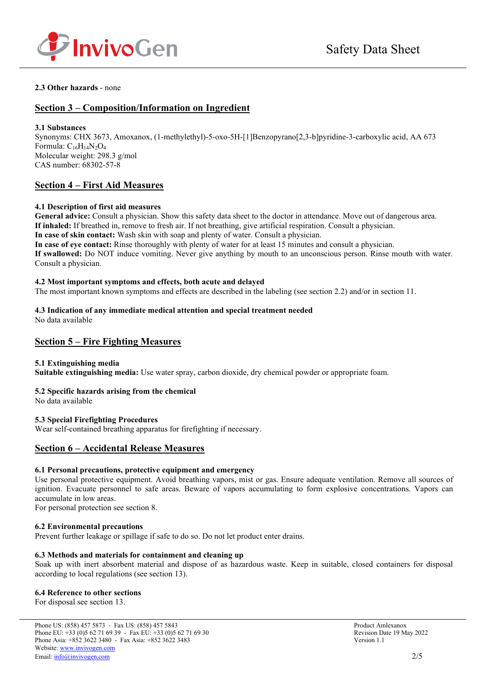

## **2.3 Other hazards** - none

# **Section 3 – Composition/Information on Ingredient**

### **3.1 Substances**

Synonyms: CHX 3673, Amoxanox, (1-methylethyl)-5-oxo-5H-[1]Benzopyrano[2,3-b]pyridine-3-carboxylic acid, AA 673 Formula:  $C_{16}H_{14}N_2O_4$ Molecular weight: 298.3 g/mol CAS number: 68302-57-8

## **Section 4 – First Aid Measures**

## **4.1 Description of first aid measures**

**General advice:** Consult a physician. Show this safety data sheet to the doctor in attendance. Move out of dangerous area. **If inhaled:** If breathed in, remove to fresh air. If not breathing, give artificial respiration. Consult a physician.

**In case of skin contact:** Wash skin with soap and plenty of water. Consult a physician.

**In case of eye contact:** Rinse thoroughly with plenty of water for at least 15 minutes and consult a physician. **If swallowed:** Do NOT induce vomiting. Never give anything by mouth to an unconscious person. Rinse mouth with water. Consult a physician.

### **4.2 Most important symptoms and effects, both acute and delayed**

The most important known symptoms and effects are described in the labeling (see section 2.2) and/or in section 11.

#### **4.3 Indication of any immediate medical attention and special treatment needed** No data available

## **Section 5 – Fire Fighting Measures**

## **5.1 Extinguishing media**

**Suitable extinguishing media:** Use water spray, carbon dioxide, dry chemical powder or appropriate foam.

## **5.2 Specific hazards arising from the chemical**

No data available

## **5.3 Special Firefighting Procedures**

Wear self-contained breathing apparatus for firefighting if necessary.

## **Section 6 – Accidental Release Measures**

## **6.1 Personal precautions, protective equipment and emergency**

Use personal protective equipment. Avoid breathing vapors, mist or gas. Ensure adequate ventilation. Remove all sources of ignition. Evacuate personnel to safe areas. Beware of vapors accumulating to form explosive concentrations. Vapors can accumulate in low areas.

For personal protection see section 8.

## **6.2 Environmental precautions**

Prevent further leakage or spillage if safe to do so. Do not let product enter drains.

## **6.3 Methods and materials for containment and cleaning up**

Soak up with inert absorbent material and dispose of as hazardous waste. Keep in suitable, closed containers for disposal according to local regulations (see section 13).

## **6.4 Reference to other sections**

For disposal see section 13.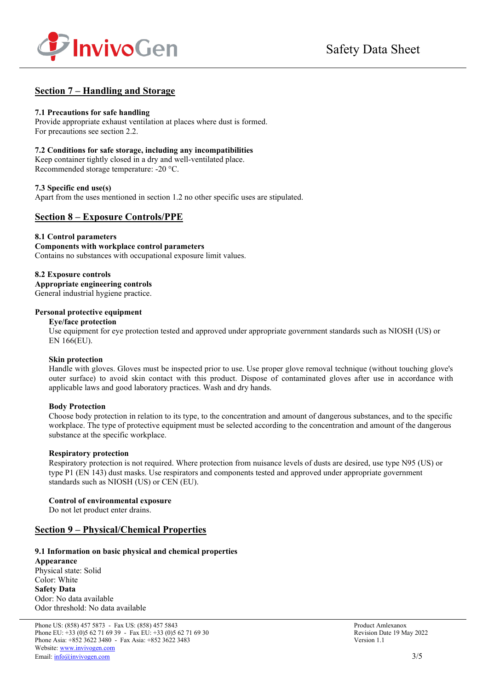



# **Section 7 – Handling and Storage**

## **7.1 Precautions for safe handling**

Provide appropriate exhaust ventilation at places where dust is formed. For precautions see section 2.2.

### **7.2 Conditions for safe storage, including any incompatibilities**

Keep container tightly closed in a dry and well-ventilated place. Recommended storage temperature: -20 °C.

### **7.3 Specific end use(s)**

Apart from the uses mentioned in section 1.2 no other specific uses are stipulated.

## **Section 8 – Exposure Controls/PPE**

**8.1 Control parameters Components with workplace control parameters**  Contains no substances with occupational exposure limit values.

## **8.2 Exposure controls**

**Appropriate engineering controls** General industrial hygiene practice.

#### **Personal protective equipment**

#### **Eye/face protection**

Use equipment for eye protection tested and approved under appropriate government standards such as NIOSH (US) or EN 166(EU).

#### **Skin protection**

Handle with gloves. Gloves must be inspected prior to use. Use proper glove removal technique (without touching glove's outer surface) to avoid skin contact with this product. Dispose of contaminated gloves after use in accordance with applicable laws and good laboratory practices. Wash and dry hands.

## **Body Protection**

Choose body protection in relation to its type, to the concentration and amount of dangerous substances, and to the specific workplace. The type of protective equipment must be selected according to the concentration and amount of the dangerous substance at the specific workplace.

## **Respiratory protection**

Respiratory protection is not required. Where protection from nuisance levels of dusts are desired, use type N95 (US) or type P1 (EN 143) dust masks. Use respirators and components tested and approved under appropriate government standards such as NIOSH (US) or CEN (EU).

#### **Control of environmental exposure**

Do not let product enter drains.

## **Section 9 – Physical/Chemical Properties**

## **9.1 Information on basic physical and chemical properties**

**Appearance** Physical state: Solid Color: White **Safety Data** Odor: No data available Odor threshold: No data available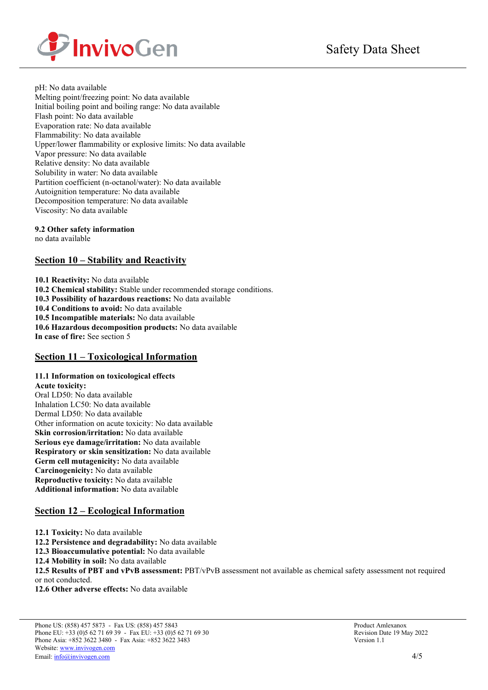

pH: No data available Melting point/freezing point: No data available Initial boiling point and boiling range: No data available Flash point: No data available Evaporation rate: No data available Flammability: No data available Upper/lower flammability or explosive limits: No data available Vapor pressure: No data available Relative density: No data available Solubility in water: No data available Partition coefficient (n-octanol/water): No data available Autoignition temperature: No data available Decomposition temperature: No data available Viscosity: No data available

**9.2 Other safety information** 

no data available

# **Section 10 – Stability and Reactivity**

**10.1 Reactivity:** No data available **10.2 Chemical stability:** Stable under recommended storage conditions. **10.3 Possibility of hazardous reactions:** No data available **10.4 Conditions to avoid:** No data available **10.5 Incompatible materials:** No data available **10.6 Hazardous decomposition products:** No data available **In case of fire:** See section 5

# **Section 11 – Toxicological Information**

**11.1 Information on toxicological effects**

**Acute toxicity:** Oral LD50: No data available Inhalation LC50: No data available Dermal LD50: No data available Other information on acute toxicity: No data available **Skin corrosion/irritation:** No data available **Serious eye damage/irritation:** No data available **Respiratory or skin sensitization:** No data available **Germ cell mutagenicity:** No data available **Carcinogenicity:** No data available **Reproductive toxicity:** No data available **Additional information:** No data available

# **Section 12 – Ecological Information**

- **12.1 Toxicity:** No data available
- **12.2 Persistence and degradability:** No data available
- **12.3 Bioaccumulative potential:** No data available

**12.4 Mobility in soil:** No data available

**12.5 Results of PBT and vPvB assessment:** PBT/vPvB assessment not available as chemical safety assessment not required or not conducted.

**12.6 Other adverse effects:** No data available